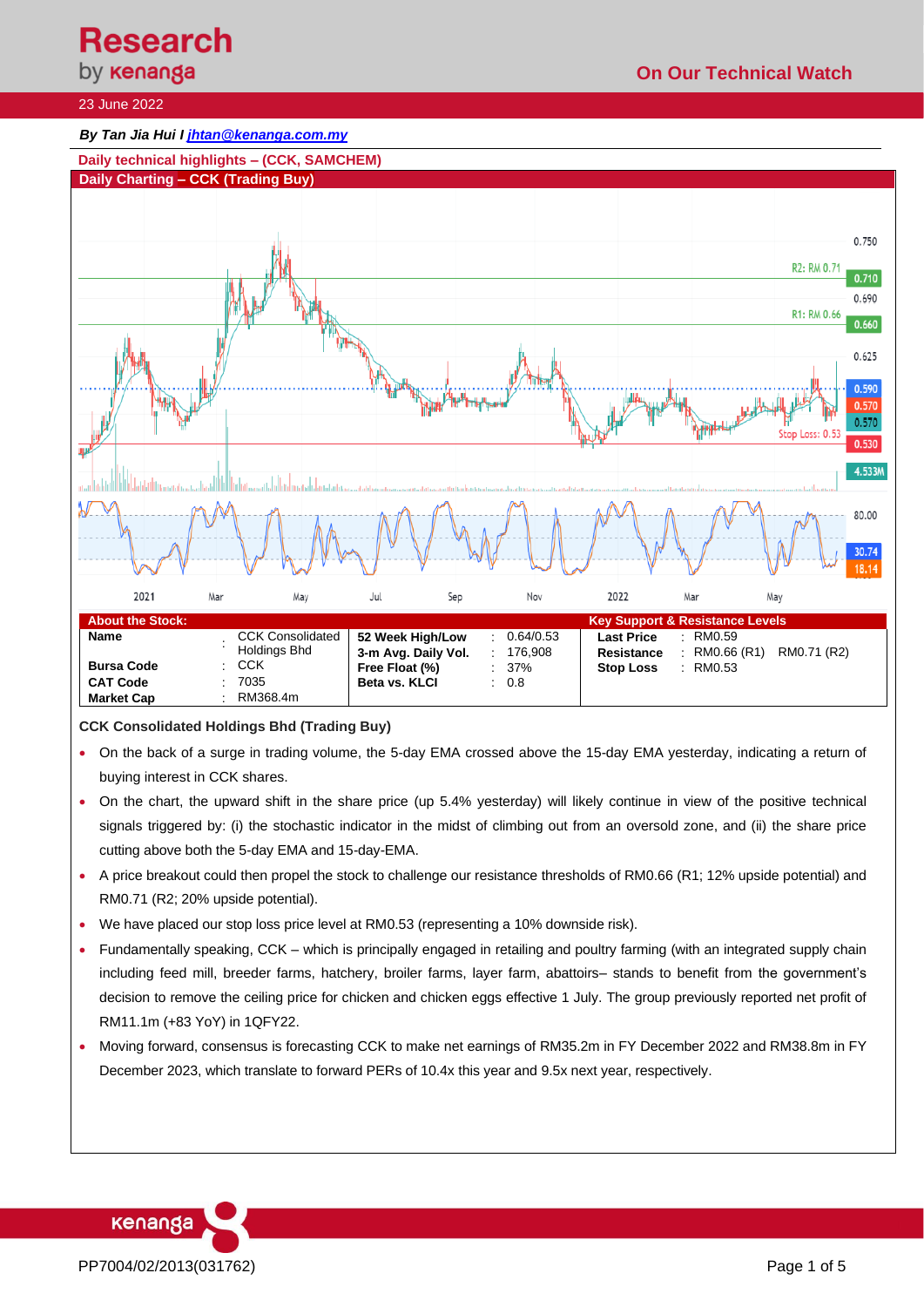**Research**<br>by **кепапда** 

# **On Our Technical Watch**

## 23 June 2022

### *By Tan Jia Hui I [jhtan@kenanga.com.my](mailto:jhtan@kenanga.com.my)*



#### **CCK Consolidated Holdings Bhd (Trading Buy)**

- On the back of a surge in trading volume, the 5-day EMA crossed above the 15-day EMA yesterday, indicating a return of buying interest in CCK shares.
- On the chart, the upward shift in the share price (up 5.4% yesterday) will likely continue in view of the positive technical signals triggered by: (i) the stochastic indicator in the midst of climbing out from an oversold zone, and (ii) the share price cutting above both the 5-day EMA and 15-day-EMA.
- A price breakout could then propel the stock to challenge our resistance thresholds of RM0.66 (R1; 12% upside potential) and RM0.71 (R2; 20% upside potential).
- We have placed our stop loss price level at RM0.53 (representing a 10% downside risk).
- Fundamentally speaking, CCK which is principally engaged in retailing and poultry farming (with an integrated supply chain including feed mill, breeder farms, hatchery, broiler farms, layer farm, abattoirs– stands to benefit from the government's decision to remove the ceiling price for chicken and chicken eggs effective 1 July. The group previously reported net profit of RM11.1m (+83 YoY) in 1QFY22.
- Moving forward, consensus is forecasting CCK to make net earnings of RM35.2m in FY December 2022 and RM38.8m in FY December 2023, which translate to forward PERs of 10.4x this year and 9.5x next year, respectively.

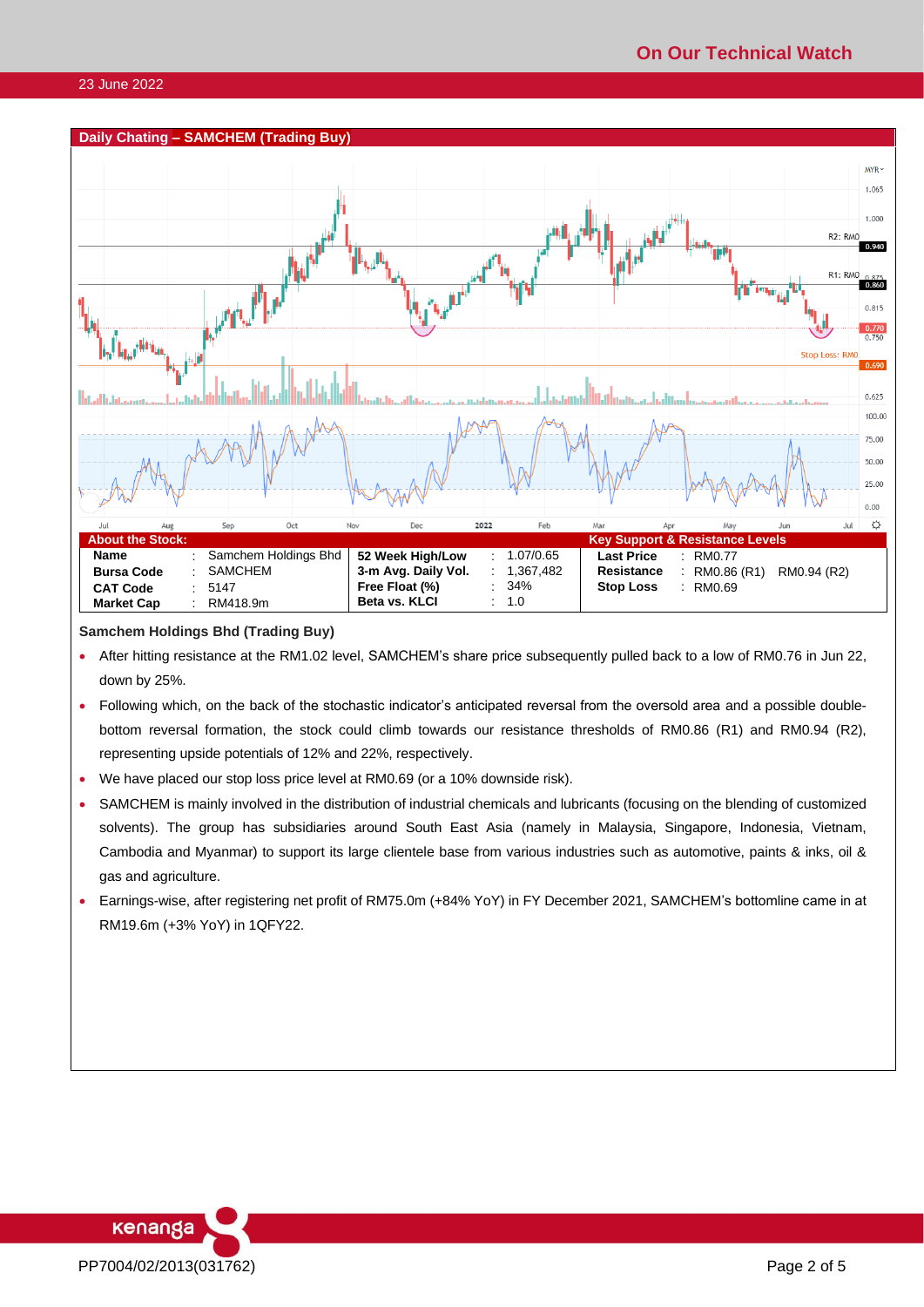#### **Daily Chating – SAMCHEM (Trading Buy)**  $MYP$ 1.065 1.000 R<sub>2</sub>: RMC 0.940 **R1: RA**  $-0.860$ 0.815  $\frac{0.770}{0.750}$ **Stop Loss: RM**  $0.690$  $0.625$ 100.00 75.00 50.00 25.00  $0.00$  $\ddot{\mathcal{Q}}$  $O<sub>C</sub>$ 2022 Feb Ma **Jul About the Stock: Key Support & Resistance Levels Name** : Samchem Holdings Bhd<br> **Bursa Code** : SAMCHEM **52 Week High/Low : 1.07/0.65<br><b>3-m Avg. Daily Vol. : 1.367.482 Last Price** : RM0.77 **Bursa Code** 3-m Avg. Daily Vol. **Resistance** : RM0.86 (R1) RM0.94 (R2) **CAT Code** : 5147<br>**Market Cap** : RM418.9m **Free Float (%)** : 34%<br>**Beta vs. KLCI** : 1.0 **Stop Loss** : RM0.69 **Beta vs. KLCI Market Cap**

## **Samchem Holdings Bhd (Trading Buy)**

- After hitting resistance at the RM1.02 level, SAMCHEM's share price subsequently pulled back to a low of RM0.76 in Jun 22, down by 25%.
- Following which, on the back of the stochastic indicator's anticipated reversal from the oversold area and a possible doublebottom reversal formation, the stock could climb towards our resistance thresholds of RM0.86 (R1) and RM0.94 (R2), representing upside potentials of 12% and 22%, respectively.
- We have placed our stop loss price level at RM0.69 (or a 10% downside risk).
- SAMCHEM is mainly involved in the distribution of industrial chemicals and lubricants (focusing on the blending of customized solvents). The group has subsidiaries around South East Asia (namely in Malaysia, Singapore, Indonesia, Vietnam, Cambodia and Myanmar) to support its large clientele base from various industries such as automotive, paints & inks, oil & gas and agriculture.
- Earnings-wise, after registering net profit of RM75.0m (+84% YoY) in FY December 2021, SAMCHEM's bottomline came in at RM19.6m (+3% YoY) in 1QFY22.

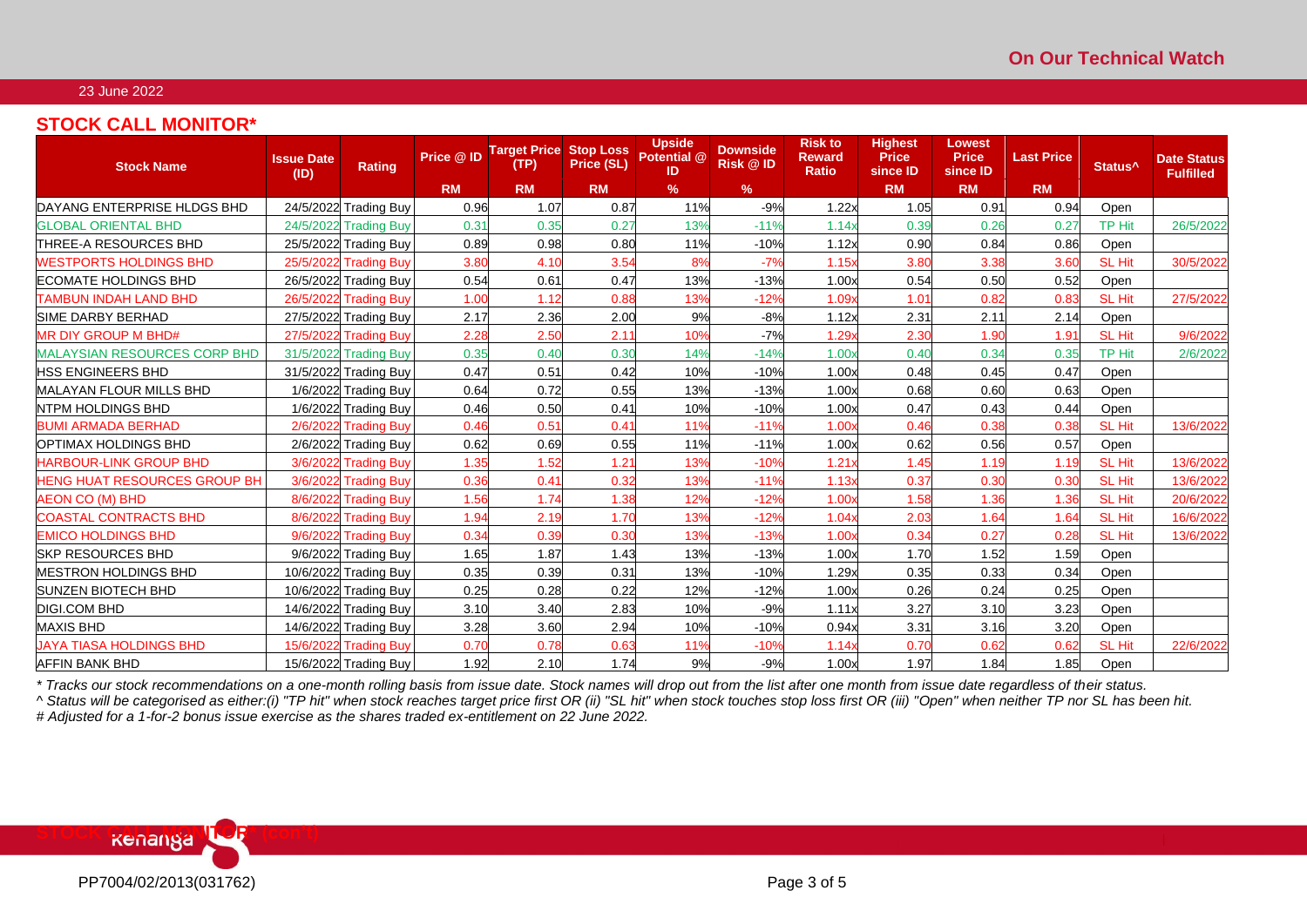# 23 June 2022

# **STOCK CALL MONITOR\***

| <b>Stock Name</b>                   | <b>Issue Date</b><br>(ID) | <b>Rating</b>         | Price @ ID | <b>Target Price</b><br>(TP) | <b>Stop Loss</b><br>Price (SL) | <b>Upside</b><br>Potential @<br>ID | <b>Downside</b><br>Risk @ ID | <b>Risk to</b><br><b>Reward</b><br><b>Ratio</b> | <b>Highest</b><br><b>Price</b><br>since ID | Lowest<br><b>Price</b><br>since ID | <b>Last Price</b> | Status <sup>^</sup> | <b>Date Status</b><br><b>Fulfilled</b> |
|-------------------------------------|---------------------------|-----------------------|------------|-----------------------------|--------------------------------|------------------------------------|------------------------------|-------------------------------------------------|--------------------------------------------|------------------------------------|-------------------|---------------------|----------------------------------------|
|                                     |                           |                       | <b>RM</b>  | <b>RM</b>                   | <b>RM</b>                      | $\%$                               | $\frac{9}{6}$                |                                                 | <b>RM</b>                                  | <b>RM</b>                          | <b>RM</b>         |                     |                                        |
| DAYANG ENTERPRISE HLDGS BHD         |                           | 24/5/2022 Trading Buy | 0.96       | 1.07                        | 0.87                           | 11%                                | $-9%$                        | 1.22x                                           | 1.05                                       | 0.91                               | 0.94              | Open                |                                        |
| <b>GLOBAL ORIENTAL BHD</b>          |                           | 24/5/2022 Trading Buy | 0.31       | 0.35                        | 0.27                           | 13%                                | $-11%$                       | 1.14x                                           | 0.39                                       | 0.26                               | 0.27              | <b>TP Hit</b>       | 26/5/2022                              |
| <b>THREE-A RESOURCES BHD</b>        |                           | 25/5/2022 Trading Buy | 0.89       | 0.98                        | 0.80                           | 11%                                | $-10%$                       | 1.12x                                           | 0.90                                       | 0.84                               | 0.86              | Open                |                                        |
| <b>WESTPORTS HOLDINGS BHD</b>       |                           | 25/5/2022 Trading Buy | 3.80       | 4.10                        | 3.54                           | 8%                                 | $-7%$                        | 1.15x                                           | 3.8C                                       | 3.38                               | 3.60              | <b>SL Hit</b>       | 30/5/2022                              |
| <b>ECOMATE HOLDINGS BHD</b>         |                           | 26/5/2022 Trading Buy | 0.54       | 0.61                        | 0.47                           | 13%                                | $-13%$                       | 1.00x                                           | 0.54                                       | 0.50                               | 0.52              | Open                |                                        |
| <b>TAMBUN INDAH LAND BHD</b>        |                           | 26/5/2022 Trading Buy | 1.00       | 1.12                        | 0.88                           | 13%                                | $-12%$                       | 1.09x                                           | 1.01                                       | 0.82                               | 0.83              | <b>SL Hit</b>       | 27/5/2022                              |
| <b>SIME DARBY BERHAD</b>            |                           | 27/5/2022 Trading Buy | 2.17       | 2.36                        | 2.00                           | 9%                                 | $-8%$                        | 1.12x                                           | 2.31                                       | 2.11                               | 2.14              | Open                |                                        |
| <b>MR DIY GROUP M BHD#</b>          |                           | 27/5/2022 Trading Buy | 2.28       | 2.50                        | 2.11                           | 10%                                | $-7%$                        | 1.29x                                           | 2.30                                       | 1.90                               | 1.91              | SL Hit              | 9/6/2022                               |
| <b>MALAYSIAN RESOURCES CORP BHD</b> |                           | 31/5/2022 Trading Buy | 0.35       | 0.40                        | 0.30                           | 14%                                | $-14%$                       | 1.00x                                           | 0.40                                       | 0.34                               | 0.35              | <b>TP Hit</b>       | 2/6/2022                               |
| <b>HSS ENGINEERS BHD</b>            |                           | 31/5/2022 Trading Buy | 0.47       | 0.51                        | 0.42                           | 10%                                | $-10%$                       | 1.00x                                           | 0.48                                       | 0.45                               | 0.47              | Open                |                                        |
| <b>MALAYAN FLOUR MILLS BHD</b>      |                           | 1/6/2022 Trading Buy  | 0.64       | 0.72                        | 0.55                           | 13%                                | $-13%$                       | 1.00x                                           | 0.68                                       | 0.60                               | 0.63              | Open                |                                        |
| <b>NTPM HOLDINGS BHD</b>            |                           | 1/6/2022 Trading Buy  | 0.46       | 0.50                        | 0.41                           | 10%                                | $-10%$                       | 1.00x                                           | 0.47                                       | 0.43                               | 0.44              | Open                |                                        |
| <b>BUMI ARMADA BERHAD</b>           |                           | 2/6/2022 Trading Buy  | 0.46       | 0.51                        | 0.41                           | 11%                                | $-11%$                       | 1.00x                                           | 0.46                                       | 0.38                               | 0.38              | SL Hit              | 13/6/2022                              |
| OPTIMAX HOLDINGS BHD                |                           | 2/6/2022 Trading Buy  | 0.62       | 0.69                        | 0.55                           | 11%                                | $-11%$                       | 1.00x                                           | 0.62                                       | 0.56                               | 0.57              | Open                |                                        |
| <b>HARBOUR-LINK GROUP BHD</b>       |                           | 3/6/2022 Trading Buy  | 1.35       | 1.52                        | 1.21                           | 13%                                | $-10%$                       | 1.21x                                           | 1.45                                       | 1.19                               | 1.19              | SL Hit              | 13/6/2022                              |
| <b>HENG HUAT RESOURCES GROUP BH</b> |                           | 3/6/2022 Trading Buy  | 0.36       | 0.41                        | 0.32                           | 13%                                | $-11%$                       | 1.13x                                           | 0.37                                       | 0.30                               | 0.30              | SL Hit              | 13/6/2022                              |
| <b>AEON CO (M) BHD</b>              |                           | 8/6/2022 Trading Buy  | 1.56       | 1.74                        | 1.38                           | 12%                                | $-12%$                       | 1.00x                                           | 1.58                                       | 1.36                               | 1.36              | SL Hit              | 20/6/2022                              |
| <b>COASTAL CONTRACTS BHD</b>        |                           | 8/6/2022 Trading Buy  | 1.94       | 2.19                        | 1.70                           | 13%                                | $-12%$                       | 1.04                                            | 2.03                                       | 1.64                               | 1.64              | SL Hit              | 16/6/2022                              |
| <b>EMICO HOLDINGS BHD</b>           |                           | 9/6/2022 Trading Buy  | 0.34       | 0.39                        | 0.30                           | 13%                                | $-13%$                       | 1.00x                                           | 0.34                                       | 0.27                               | 0.28              | <b>SL Hit</b>       | 13/6/2022                              |
| <b>SKP RESOURCES BHD</b>            |                           | 9/6/2022 Trading Buy  | 1.65       | 1.87                        | 1.43                           | 13%                                | $-13%$                       | 1.00x                                           | 1.70                                       | 1.52                               | 1.59              | Open                |                                        |
| <b>IMESTRON HOLDINGS BHD</b>        |                           | 10/6/2022 Trading Buy | 0.35       | 0.39                        | 0.31                           | 13%                                | $-10%$                       | 1.29x                                           | 0.35                                       | 0.33                               | 0.34              | Open                |                                        |
| <b>SUNZEN BIOTECH BHD</b>           |                           | 10/6/2022 Trading Buy | 0.25       | 0.28                        | 0.22                           | 12%                                | $-12%$                       | 1.00x                                           | 0.26                                       | 0.24                               | 0.25              | Open                |                                        |
| <b>DIGI.COM BHD</b>                 |                           | 14/6/2022 Trading Buy | 3.10       | 3.40                        | 2.83                           | 10%                                | $-9%$                        | 1.11x                                           | 3.27                                       | 3.10                               | 3.23              | Open                |                                        |
| <b>MAXIS BHD</b>                    |                           | 14/6/2022 Trading Buy | 3.28       | 3.60                        | 2.94                           | 10%                                | $-10%$                       | 0.94x                                           | 3.31                                       | 3.16                               | 3.20              | Open                |                                        |
| JAYA TIASA HOLDINGS BHD             |                           | 15/6/2022 Trading Buy | 0.70       | 0.78                        | 0.63                           | 11%                                | $-10%$                       | 1.14x                                           | 0.70                                       | 0.62                               | 0.62              | SL Hit              | 22/6/2022                              |
| AFFIN BANK BHD                      |                           | 15/6/2022 Trading Buy | 1.92       | 2.10                        | 1.74                           | 9%                                 | $-9%$                        | 1.00x                                           | 1.97                                       | 1.84                               | 1.85              | Open                |                                        |

*\* Tracks our stock recommendations on a one-month rolling basis from issue date. Stock names will drop out from the list after one month from issue date regardless of their status.*

*^ Status will be categorised as either:(i) "TP hit" when stock reaches target price first OR (ii) "SL hit" when stock touches stop loss first OR (iii) "Open" when neither TP nor SL has been hit. # Adjusted for a 1-for-2 bonus issue exercise as the shares traded ex-entitlement on 22 June 2022.*

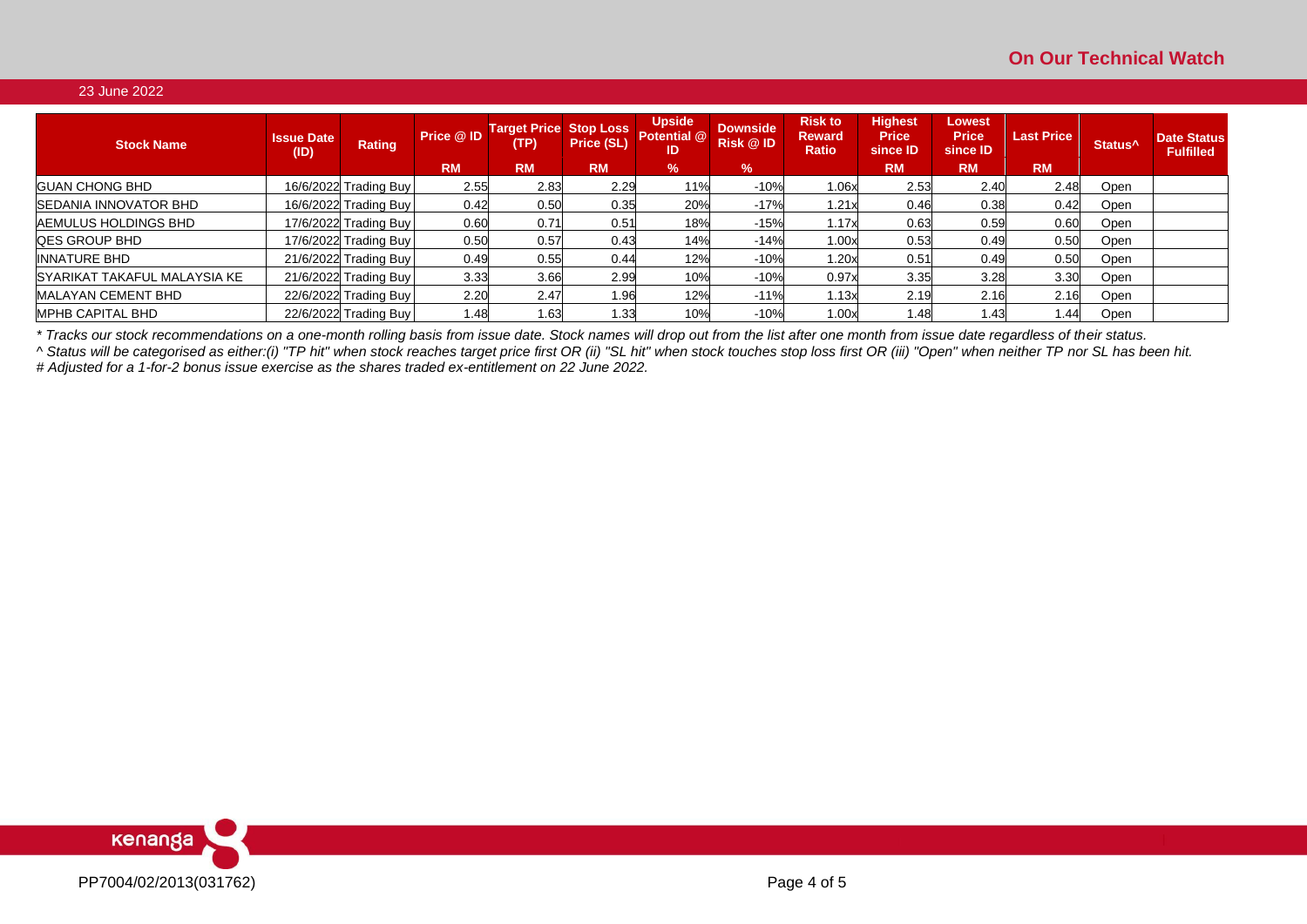# 23 June 2022

| <b>Stock Name</b>            | <b>Issue Date</b><br>(ID) | Rating                | Price @ ID | <b>Target Price Stop Loss</b><br>(TP) | Price (SL)    | <b>Upside</b><br><b>Potential @</b><br>ID | <b>Downside</b><br><b>Risk @ID</b> | <b>Risk to</b><br><b>Reward</b><br><b>Ratio</b> | <b>Highest</b><br><b>Price</b><br>since <b>ID</b> | Lowest<br><b>Price</b><br>since ID | <b>Last Price</b> | Status <sup>^</sup> | <b>Date Status</b><br><b>Fulfilled</b> |
|------------------------------|---------------------------|-----------------------|------------|---------------------------------------|---------------|-------------------------------------------|------------------------------------|-------------------------------------------------|---------------------------------------------------|------------------------------------|-------------------|---------------------|----------------------------------------|
|                              |                           |                       | <b>RM</b>  | <b>RM</b>                             | <b>RM</b>     | $\%$                                      | $\%$                               |                                                 | <b>RM</b>                                         | <b>RM</b>                          | <b>RM</b>         |                     |                                        |
| <b>GUAN CHONG BHD</b>        |                           | 16/6/2022 Trading Buy | 2.55       | 2.83                                  | 2.29          | 11%                                       | $-10%$                             | 1.06x                                           | 2.53                                              | 2.40                               | 2.48              | Open                |                                        |
| SEDANIA INNOVATOR BHD        |                           | 16/6/2022 Trading Buy | 0.42       | 0.50                                  | 0.35          | 20%                                       | $-17%$                             | 1.21x                                           | 0.46                                              | 0.38                               | 0.42              | Open                |                                        |
| AEMULUS HOLDINGS BHD         |                           | 17/6/2022 Trading Buy | 0.60       | 0.71                                  | $0.5^{\circ}$ | 18%                                       | $-15%$                             | 1.17x                                           | 0.63                                              | 0.59                               | 0.60              | Open                |                                        |
| <b>QES GROUP BHD</b>         |                           | 17/6/2022 Trading Buy | 0.50       | 0.57                                  | 0.43          | 14%                                       | $-14%$                             | 1.00x                                           | 0.53                                              | 0.49                               | 0.50              | Open                |                                        |
| <b>INNATURE BHD</b>          |                           | 21/6/2022 Trading Buy | 0.49       | 0.55                                  | 0.44          | 12%                                       | $-10%$                             | 1.20x                                           | 0.51                                              | 0.49                               | 0.50              | Open                |                                        |
| SYARIKAT TAKAFUL MALAYSIA KE |                           | 21/6/2022 Trading Buy | 3.33       | 3.66                                  | 2.99          | 10%                                       | $-10%$                             | 0.97x                                           | 3.35                                              | 3.28                               | 3.30              | Open                |                                        |
| <b>MALAYAN CEMENT BHD</b>    |                           | 22/6/2022 Trading Buy | 2.20       | 2.47                                  | 1.96          | 12%                                       | $-11%$                             | 1.13x                                           | 2.19                                              | 2.16                               | 2.16              | Open                |                                        |
| <b>MPHB CAPITAL BHD</b>      |                           | 22/6/2022 Trading Buy | 1.48       | <b>1.63</b>                           | 1.33          | 10%                                       | $-10%$                             | 1.00x                                           | 1.48                                              | 1.43                               | 1.44              | Open                |                                        |

*\* Tracks our stock recommendations on a one-month rolling basis from issue date. Stock names will drop out from the list after one month from issue date regardless of their status.*

*^ Status will be categorised as either:(i) "TP hit" when stock reaches target price first OR (ii) "SL hit" when stock touches stop loss first OR (iii) "Open" when neither TP nor SL has been hit. # Adjusted for a 1-for-2 bonus issue exercise as the shares traded ex-entitlement on 22 June 2022.*